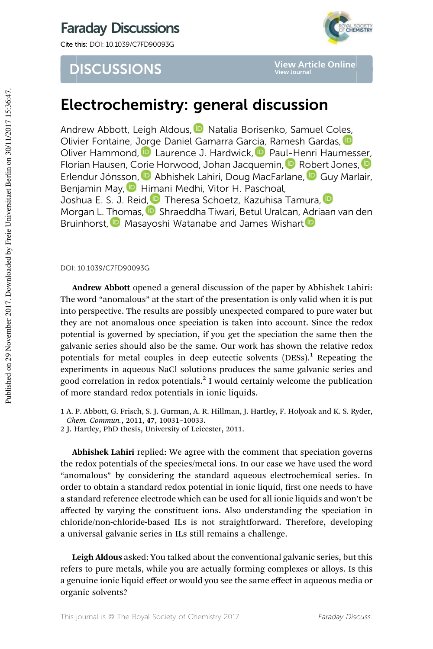## Faraday Discussions

Cite this: DOI: 10.1039/C7FD90093G



## **DISCUSSIONS**

**View Article Online View Journal**

# Electrochemistry: general discussion

Andrew Abbott, Leigh Aldous, **D** Natalia Borisenko, Samuel Coles, Olivier Fontaine, Jorge Daniel Gamarra Garcia, Ramesh Gardas, D Oliver Hammond, **D** Laurence J. Hardwick, D Paul-Henri Haumesser, Florian Hausen, Corie Horwood, Johan Jacquemin, **D** Robert Jones, **D** Erlendur Jónsson, **D** Abhishek Lahiri, Doug MacFarlane, **D** Guy Marlair, Benjamin May, **D** Himani Medhi, Vitor H. Paschoal, Joshua E. S. J. Reid, D Theresa Schoetz, Kazuhisa Tamura, D Morgan L. Thomas, **D** Shraeddha Tiwari, Betul Uralcan, Adriaan van den Bruinhorst, **D** Masayoshi Watanabe and James Wishart

DOI: 10.1039/C7FD90093G

Andrew Abbott opened a general discussion of the paper by Abhishek Lahiri: The word "anomalous" at the start of the presentation is only valid when it is put into perspective. The results are possibly unexpected compared to pure water but they are not anomalous once speciation is taken into account. Since the redox potential is governed by speciation, if you get the speciation the same then the galvanic series should also be the same. Our work has shown the relative redox potentials for metal couples in deep eutectic solvents  $(DESs)<sup>1</sup>$  Repeating the experiments in aqueous NaCl solutions produces the same galvanic series and good correlation in redox potentials.<sup>2</sup> I would certainly welcome the publication of more standard redox potentials in ionic liquids.

1 A. P. Abbott, G. Frisch, S. J. Gurman, A. R. Hillman, J. Hartley, F. Holyoak and K. S. Ryder, Chem. Commun., 2011, 47, 10031–10033.

2 J. Hartley, PhD thesis, University of Leicester, 2011.

Abhishek Lahiri replied: We agree with the comment that speciation governs the redox potentials of the species/metal ions. In our case we have used the word "anomalous" by considering the standard aqueous electrochemical series. In order to obtain a standard redox potential in ionic liquid, first one needs to have a standard reference electrode which can be used for all ionic liquids and won't be affected by varying the constituent ions. Also understanding the speciation in chloride/non-chloride-based ILs is not straightforward. Therefore, developing a universal galvanic series in ILs still remains a challenge.

Leigh Aldous asked: You talked about the conventional galvanic series, but this refers to pure metals, while you are actually forming complexes or alloys. Is this a genuine ionic liquid effect or would you see the same effect in aqueous media or organic solvents?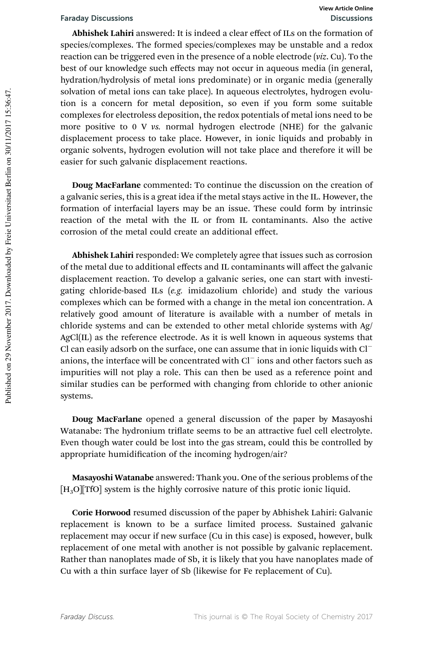Abhishek Lahiri answered: It is indeed a clear effect of ILs on the formation of species/complexes. The formed species/complexes may be unstable and a redox reaction can be triggered even in the presence of a noble electrode (viz. Cu). To the best of our knowledge such effects may not occur in aqueous media (in general, hydration/hydrolysis of metal ions predominate) or in organic media (generally solvation of metal ions can take place). In aqueous electrolytes, hydrogen evolution is a concern for metal deposition, so even if you form some suitable complexes for electroless deposition, the redox potentials of metal ions need to be more positive to 0 V vs. normal hydrogen electrode (NHE) for the galvanic displacement process to take place. However, in ionic liquids and probably in organic solvents, hydrogen evolution will not take place and therefore it will be easier for such galvanic displacement reactions.

Doug MacFarlane commented: To continue the discussion on the creation of a galvanic series, this is a great idea if the metal stays active in the IL. However, the formation of interfacial layers may be an issue. These could form by intrinsic reaction of the metal with the IL or from IL contaminants. Also the active corrosion of the metal could create an additional effect.

Abhishek Lahiri responded: We completely agree that issues such as corrosion of the metal due to additional effects and IL contaminants will affect the galvanic displacement reaction. To develop a galvanic series, one can start with investigating chloride-based ILs (e.g. imidazolium chloride) and study the various complexes which can be formed with a change in the metal ion concentration. A relatively good amount of literature is available with a number of metals in chloride systems and can be extended to other metal chloride systems with Ag/ AgCl(IL) as the reference electrode. As it is well known in aqueous systems that Cl can easily adsorb on the surface, one can assume that in ionic liquids with Cl anions, the interface will be concentrated with Cl ions and other factors such as impurities will not play a role. This can then be used as a reference point and similar studies can be performed with changing from chloride to other anionic systems.

Doug MacFarlane opened a general discussion of the paper by Masayoshi Watanabe: The hydronium triflate seems to be an attractive fuel cell electrolyte. Even though water could be lost into the gas stream, could this be controlled by appropriate humidification of the incoming hydrogen/air?

Masayoshi Watanabe answered: Thank you. One of the serious problems of the  $[H_3O][TfO]$  system is the highly corrosive nature of this protic ionic liquid.

Corie Horwood resumed discussion of the paper by Abhishek Lahiri: Galvanic replacement is known to be a surface limited process. Sustained galvanic replacement may occur if new surface (Cu in this case) is exposed, however, bulk replacement of one metal with another is not possible by galvanic replacement. Rather than nanoplates made of Sb, it is likely that you have nanoplates made of Cu with a thin surface layer of Sb (likewise for Fe replacement of Cu).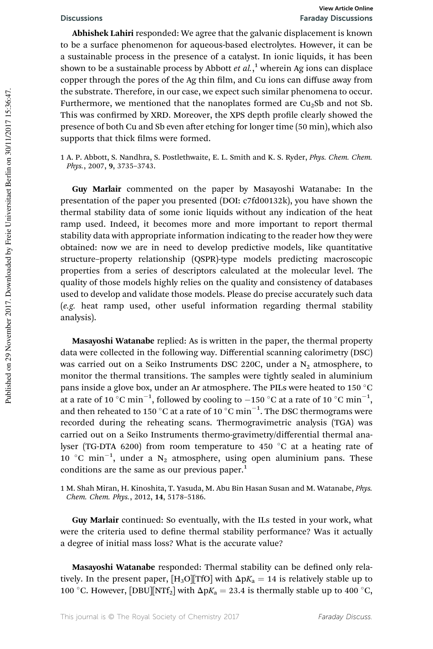Abhishek Lahiri responded: We agree that the galvanic displacement is known to be a surface phenomenon for aqueous-based electrolytes. However, it can be a sustainable process in the presence of a catalyst. In ionic liquids, it has been shown to be a sustainable process by Abbott  $et$   $al$ ,  $^{1}$  wherein Ag ions can displace copper through the pores of the Ag thin film, and Cu ions can diffuse away from the substrate. Therefore, in our case, we expect such similar phenomena to occur. Furthermore, we mentioned that the nanoplates formed are  $Cu<sub>2</sub>Sb$  and not Sb. This was confirmed by XRD. Moreover, the XPS depth profile clearly showed the presence of both Cu and Sb even after etching for longer time (50 min), which also supports that thick films were formed.

1 A. P. Abbott, S. Nandhra, S. Postlethwaite, E. L. Smith and K. S. Ryder, Phys. Chem. Chem. Phys., 2007, 9, 3735–3743.

Guy Marlair commented on the paper by Masayoshi Watanabe: In the presentation of the paper you presented (DOI: c7fd00132k), you have shown the thermal stability data of some ionic liquids without any indication of the heat ramp used. Indeed, it becomes more and more important to report thermal stability data with appropriate information indicating to the reader how they were obtained: now we are in need to develop predictive models, like quantitative structure–property relationship (QSPR)-type models predicting macroscopic properties from a series of descriptors calculated at the molecular level. The quality of those models highly relies on the quality and consistency of databases used to develop and validate those models. Please do precise accurately such data (e.g. heat ramp used, other useful information regarding thermal stability analysis).

Masayoshi Watanabe replied: As is written in the paper, the thermal property data were collected in the following way. Differential scanning calorimetry (DSC) was carried out on a Seiko Instruments DSC 220C, under a  $N_2$  atmosphere, to monitor the thermal transitions. The samples were tightly sealed in aluminium pans inside a glove box, under an Ar atmosphere. The PILs were heated to 150  $^{\circ}$ C at a rate of 10 °C min<sup>-1</sup>, followed by cooling to -150 °C at a rate of 10 °C min<sup>-1</sup>, and then reheated to 150 °C at a rate of 10  $\degree$ C min<sup>-1</sup>. The DSC thermograms were recorded during the reheating scans. Thermogravimetric analysis (TGA) was carried out on a Seiko Instruments thermo-gravimetry/differential thermal analyser (TG-DTA 6200) from room temperature to 450 °C at a heating rate of  $10$  °C min<sup>-1</sup>, under a N<sub>2</sub> atmosphere, using open aluminium pans. These conditions are the same as our previous paper.<sup>1</sup>

1 M. Shah Miran, H. Kinoshita, T. Yasuda, M. Abu Bin Hasan Susan and M. Watanabe, Phys. Chem. Chem. Phys., 2012, 14, 5178–5186.

Guy Marlair continued: So eventually, with the ILs tested in your work, what were the criteria used to define thermal stability performance? Was it actually a degree of initial mass loss? What is the accurate value?

Masayoshi Watanabe responded: Thermal stability can be defined only relatively. In the present paper,  $[H_3O][TfO]$  with  $\Delta pK_a = 14$  is relatively stable up to 100 °C. However, [DBU][NTf<sub>2</sub>] with  $\Delta pK_a = 23.4$  is thermally stable up to 400 °C,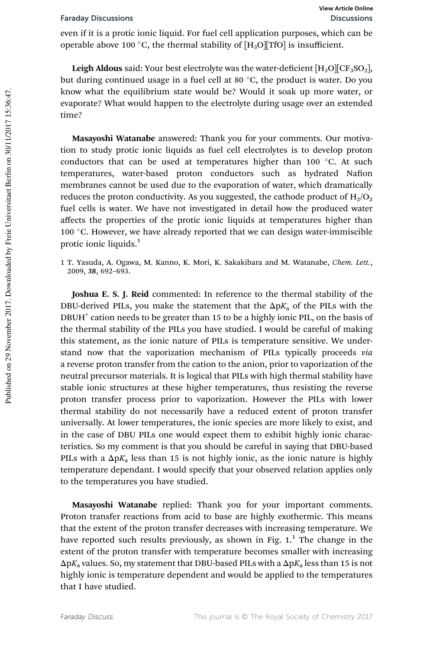even if it is a protic ionic liquid. For fuel cell application purposes, which can be operable above 100 °C, the thermal stability of  $[H_3O][TfO]$  is insufficient.

**Leigh Aldous** said: Your best electrolyte was the water-deficient  $[H_3O][CF_3SO_2]$ , but during continued usage in a fuel cell at 80  $^{\circ}$ C, the product is water. Do you know what the equilibrium state would be? Would it soak up more water, or evaporate? What would happen to the electrolyte during usage over an extended time?

Masayoshi Watanabe answered: Thank you for your comments. Our motivation to study protic ionic liquids as fuel cell electrolytes is to develop proton conductors that can be used at temperatures higher than 100  $^{\circ}$ C. At such temperatures, water-based proton conductors such as hydrated Nafion membranes cannot be used due to the evaporation of water, which dramatically reduces the proton conductivity. As you suggested, the cathode product of  $H_2/O_2$ fuel cells is water. We have not investigated in detail how the produced water affects the properties of the protic ionic liquids at temperatures higher than 100  $\degree$ C. However, we have already reported that we can design water-immiscible protic ionic liquids.<sup>1</sup>

1 T. Yasuda, A. Ogawa, M. Kanno, K. Mori, K. Sakakibara and M. Watanabe, Chem. Lett., 2009, 38, 692–693.

Joshua E. S. J. Reid commented: In reference to the thermal stability of the DBU-derived PILs, you make the statement that the  $\Delta pK_a$  of the PILs with the  $DBUH<sup>+</sup>$  cation needs to be greater than 15 to be a highly ionic PIL, on the basis of the thermal stability of the PILs you have studied. I would be careful of making this statement, as the ionic nature of PILs is temperature sensitive. We understand now that the vaporization mechanism of PILs typically proceeds via a reverse proton transfer from the cation to the anion, prior to vaporization of the neutral precursor materials. It is logical that PILs with high thermal stability have stable ionic structures at these higher temperatures, thus resisting the reverse proton transfer process prior to vaporization. However the PILs with lower thermal stability do not necessarily have a reduced extent of proton transfer universally. At lower temperatures, the ionic species are more likely to exist, and in the case of DBU PILs one would expect them to exhibit highly ionic characteristics. So my comment is that you should be careful in saying that DBU-based PILs with a  $\Delta pK_a$  less than 15 is not highly ionic, as the ionic nature is highly temperature dependant. I would specify that your observed relation applies only to the temperatures you have studied.

Masayoshi Watanabe replied: Thank you for your important comments. Proton transfer reactions from acid to base are highly exothermic. This means that the extent of the proton transfer decreases with increasing temperature. We have reported such results previously, as shown in Fig. 1.<sup>1</sup> The change in the extent of the proton transfer with temperature becomes smaller with increasing  $\Delta pK_a$  values. So, my statement that DBU-based PILs with a  $\Delta pK_a$  less than 15 is not highly ionic is temperature dependent and would be applied to the temperatures that I have studied.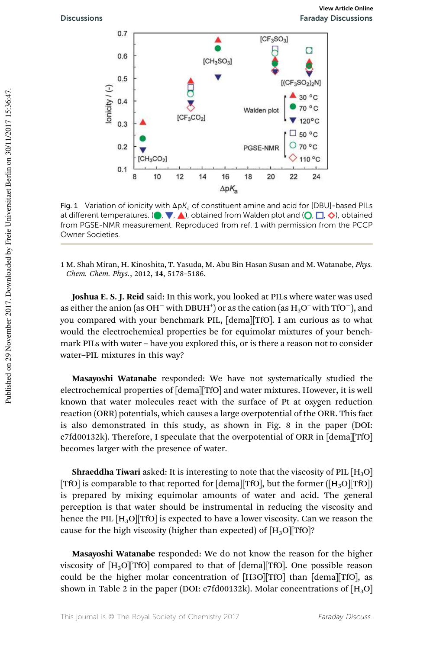

Fig. 1 Variation of ionicity with  $\Delta pK_a$  of constituent amine and acid for [DBU]-based PILs at different temperatures. ( $\bullet$ ,  $\nabla$ ,  $\blacktriangle$ ), obtained from Walden plot and ( $\bigcirc$ ,  $\Box$ ,  $\diamondsuit$ ), obtained from PGSE-NMR measurement. Reproduced from ref. 1 with permission from the PCCP Owner Societies.

1 M. Shah Miran, H. Kinoshita, T. Yasuda, M. Abu Bin Hasan Susan and M. Watanabe, Phys. Chem. Chem. Phys., 2012, 14, 5178–5186.

Joshua E. S. J. Reid said: In this work, you looked at PILs where water was used as either the anion (as OH $^+$  with DBUH $^{\dagger})$  or as the cation (as  $\text{H}_{3}\text{O}^+$  with TfO $^-$ ), and you compared with your benchmark PIL, [dema][TfO]. I am curious as to what would the electrochemical properties be for equimolar mixtures of your benchmark PILs with water – have you explored this, or is there a reason not to consider water–PIL mixtures in this way?

Masayoshi Watanabe responded: We have not systematically studied the electrochemical properties of [dema][TfO] and water mixtures. However, it is well known that water molecules react with the surface of Pt at oxygen reduction reaction (ORR) potentials, which causes a large overpotential of the ORR. This fact is also demonstrated in this study, as shown in Fig. 8 in the paper (DOI: c7fd00132k). Therefore, I speculate that the overpotential of ORR in [dema][TfO] becomes larger with the presence of water.

**Shraeddha Tiwari** asked: It is interesting to note that the viscosity of PIL  $[H_3O]$ [TfO] is comparable to that reported for [dema][TfO], but the former ( $[H_3O][TfO]$ ) is prepared by mixing equimolar amounts of water and acid. The general perception is that water should be instrumental in reducing the viscosity and hence the PIL  $[H_3O][TfO]$  is expected to have a lower viscosity. Can we reason the cause for the high viscosity (higher than expected) of  $[H_3O][TfO]$ ?

Masayoshi Watanabe responded: We do not know the reason for the higher viscosity of  $[H_3O][TfO]$  compared to that of [dema][TfO]. One possible reason could be the higher molar concentration of [H3O][TfO] than [dema][TfO], as shown in Table 2 in the paper (DOI: c7fd00132k). Molar concentrations of  $[H_3O]$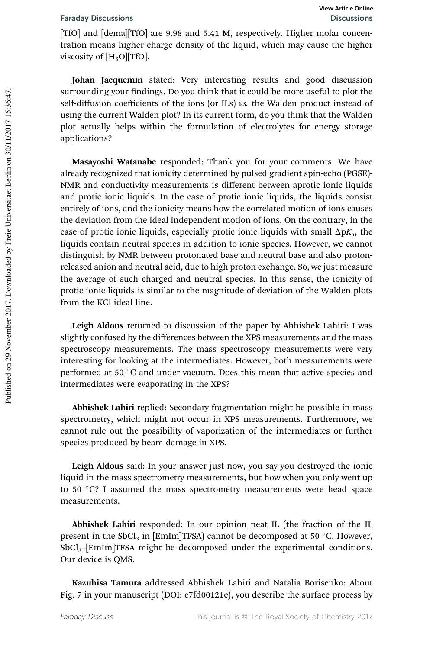[TfO] and [dema][TfO] are 9.98 and 5.41 M, respectively. Higher molar concentration means higher charge density of the liquid, which may cause the higher viscosity of  $[H_3O]$ [TfO].

Johan Jacquemin stated: Very interesting results and good discussion surrounding your findings. Do you think that it could be more useful to plot the self-diffusion coefficients of the ions (or ILs) vs. the Walden product instead of using the current Walden plot? In its current form, do you think that the Walden plot actually helps within the formulation of electrolytes for energy storage applications?

Masayoshi Watanabe responded: Thank you for your comments. We have already recognized that ionicity determined by pulsed gradient spin-echo (PGSE)- NMR and conductivity measurements is different between aprotic ionic liquids and protic ionic liquids. In the case of protic ionic liquids, the liquids consist entirely of ions, and the ionicity means how the correlated motion of ions causes the deviation from the ideal independent motion of ions. On the contrary, in the case of protic ionic liquids, especially protic ionic liquids with small  $\Delta pK_a$ , the liquids contain neutral species in addition to ionic species. However, we cannot distinguish by NMR between protonated base and neutral base and also protonreleased anion and neutral acid, due to high proton exchange. So, we just measure the average of such charged and neutral species. In this sense, the ionicity of protic ionic liquids is similar to the magnitude of deviation of the Walden plots from the KCl ideal line.

Leigh Aldous returned to discussion of the paper by Abhishek Lahiri: I was slightly confused by the differences between the XPS measurements and the mass spectroscopy measurements. The mass spectroscopy measurements were very interesting for looking at the intermediates. However, both measurements were performed at 50 °C and under vacuum. Does this mean that active species and intermediates were evaporating in the XPS?

Abhishek Lahiri replied: Secondary fragmentation might be possible in mass spectrometry, which might not occur in XPS measurements. Furthermore, we cannot rule out the possibility of vaporization of the intermediates or further species produced by beam damage in XPS.

Leigh Aldous said: In your answer just now, you say you destroyed the ionic liquid in the mass spectrometry measurements, but how when you only went up to 50 °C? I assumed the mass spectrometry measurements were head space measurements.

Abhishek Lahiri responded: In our opinion neat IL (the fraction of the IL present in the SbCl<sub>3</sub> in [EmIm]TFSA) cannot be decomposed at 50 °C. However, SbCl3–[EmIm]TFSA might be decomposed under the experimental conditions. Our device is QMS.

Kazuhisa Tamura addressed Abhishek Lahiri and Natalia Borisenko: About Fig. 7 in your manuscript (DOI: c7fd00121e), you describe the surface process by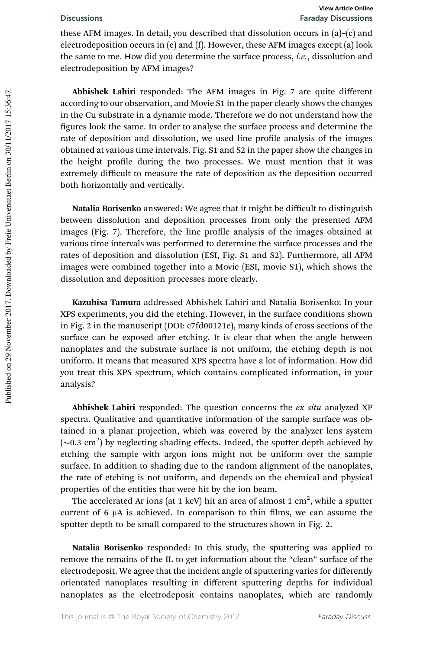these AFM images. In detail, you described that dissolution occurs in (a)–(c) and electrodeposition occurs in (e) and (f). However, these AFM images except (a) look the same to me. How did you determine the surface process, *i.e.*, dissolution and electrodeposition by AFM images?

Abhishek Lahiri responded: The AFM images in Fig. 7 are quite different according to our observation, and Movie S1 in the paper clearly shows the changes in the Cu substrate in a dynamic mode. Therefore we do not understand how the figures look the same. In order to analyse the surface process and determine the rate of deposition and dissolution, we used line profile analysis of the images obtained at various time intervals. Fig. S1 and S2 in the paper show the changes in the height profile during the two processes. We must mention that it was extremely difficult to measure the rate of deposition as the deposition occurred both horizontally and vertically.

Natalia Borisenko answered: We agree that it might be difficult to distinguish between dissolution and deposition processes from only the presented AFM images (Fig. 7). Therefore, the line profile analysis of the images obtained at various time intervals was performed to determine the surface processes and the rates of deposition and dissolution (ESI, Fig. S1 and S2). Furthermore, all AFM images were combined together into a Movie (ESI, movie S1), which shows the dissolution and deposition processes more clearly.

Kazuhisa Tamura addressed Abhishek Lahiri and Natalia Borisenko: In your XPS experiments, you did the etching. However, in the surface conditions shown in Fig. 2 in the manuscript (DOI: c7fd00121e), many kinds of cross-sections of the surface can be exposed after etching. It is clear that when the angle between nanoplates and the substrate surface is not uniform, the etching depth is not uniform. It means that measured XPS spectra have a lot of information. How did you treat this XPS spectrum, which contains complicated information, in your analysis?

Abhishek Lahiri responded: The question concerns the ex situ analyzed XP spectra. Qualitative and quantitative information of the sample surface was obtained in a planar projection, which was covered by the analyzer lens system  $(\sim 0.3 \text{ cm}^2)$  by neglecting shading effects. Indeed, the sputter depth achieved by etching the sample with argon ions might not be uniform over the sample surface. In addition to shading due to the random alignment of the nanoplates, the rate of etching is not uniform, and depends on the chemical and physical properties of the entities that were hit by the ion beam.

The accelerated Ar ions (at 1 keV) hit an area of almost 1 cm $^2$ , while a sputter current of 6 µA is achieved. In comparison to thin films, we can assume the sputter depth to be small compared to the structures shown in Fig. 2.

Natalia Borisenko responded: In this study, the sputtering was applied to remove the remains of the IL to get information about the "clean" surface of the electrodeposit. We agree that the incident angle of sputtering varies for differently orientated nanoplates resulting in different sputtering depths for individual nanoplates as the electrodeposit contains nanoplates, which are randomly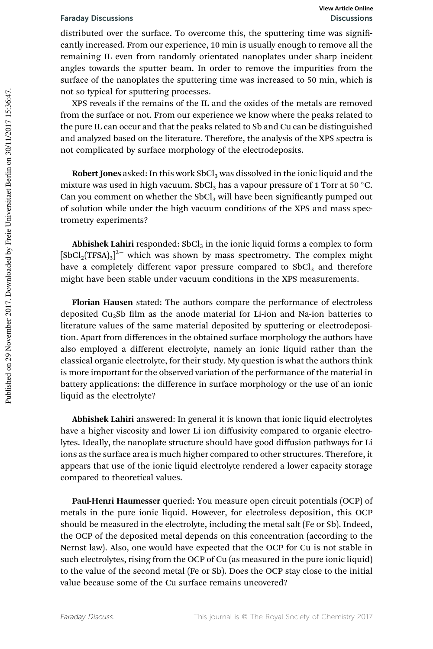distributed over the surface. To overcome this, the sputtering time was significantly increased. From our experience, 10 min is usually enough to remove all the remaining IL even from randomly orientated nanoplates under sharp incident angles towards the sputter beam. In order to remove the impurities from the surface of the nanoplates the sputtering time was increased to 50 min, which is not so typical for sputtering processes.

XPS reveals if the remains of the IL and the oxides of the metals are removed from the surface or not. From our experience we know where the peaks related to the pure IL can occur and that the peaks related to Sb and Cu can be distinguished and analyzed based on the literature. Therefore, the analysis of the XPS spectra is not complicated by surface morphology of the electrodeposits.

Robert Jones asked: In this work  $SbCl<sub>3</sub>$  was dissolved in the ionic liquid and the mixture was used in high vacuum. SbCl<sub>3</sub> has a vapour pressure of 1 Torr at 50 °C. Can you comment on whether the  $SbCl<sub>3</sub>$  will have been significantly pumped out of solution while under the high vacuum conditions of the XPS and mass spectrometry experiments?

Abhishek Lahiri responded:  $SbCl<sub>3</sub>$  in the ionic liquid forms a complex to form  $[{\rm SbCl}_2({\rm TFSA})_3]^{2-}$  which was shown by mass spectrometry. The complex might have a completely different vapor pressure compared to  $SbCl<sub>3</sub>$  and therefore might have been stable under vacuum conditions in the XPS measurements.

Florian Hausen stated: The authors compare the performance of electroless deposited Cu<sub>2</sub>Sb film as the anode material for Li-ion and Na-ion batteries to literature values of the same material deposited by sputtering or electrodeposition. Apart from differences in the obtained surface morphology the authors have also employed a different electrolyte, namely an ionic liquid rather than the classical organic electrolyte, for their study. My question is what the authors think is more important for the observed variation of the performance of the material in battery applications: the difference in surface morphology or the use of an ionic liquid as the electrolyte?

Abhishek Lahiri answered: In general it is known that ionic liquid electrolytes have a higher viscosity and lower Li ion diffusivity compared to organic electrolytes. Ideally, the nanoplate structure should have good diffusion pathways for Li ions as the surface area is much higher compared to other structures. Therefore, it appears that use of the ionic liquid electrolyte rendered a lower capacity storage compared to theoretical values.

Paul-Henri Haumesser queried: You measure open circuit potentials (OCP) of metals in the pure ionic liquid. However, for electroless deposition, this OCP should be measured in the electrolyte, including the metal salt (Fe or Sb). Indeed, the OCP of the deposited metal depends on this concentration (according to the Nernst law). Also, one would have expected that the OCP for Cu is not stable in such electrolytes, rising from the OCP of Cu (as measured in the pure ionic liquid) to the value of the second metal (Fe or Sb). Does the OCP stay close to the initial value because some of the Cu surface remains uncovered?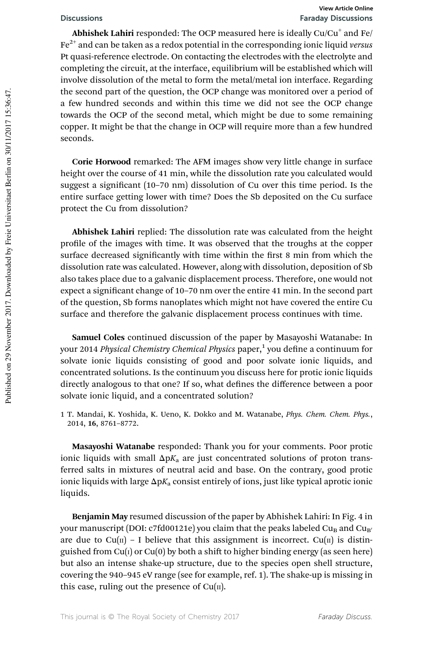### Discussions Faraday Discussions **View Article Online**

Abhishek Lahiri responded: The OCP measured here is ideally  $\mathrm{Cu/Cu}^+$  and Fe/  $Fe<sup>2+</sup>$  and can be taken as a redox potential in the corresponding ionic liquid versus Pt quasi-reference electrode. On contacting the electrodes with the electrolyte and completing the circuit, at the interface, equilibrium will be established which will involve dissolution of the metal to form the metal/metal ion interface. Regarding the second part of the question, the OCP change was monitored over a period of a few hundred seconds and within this time we did not see the OCP change towards the OCP of the second metal, which might be due to some remaining copper. It might be that the change in OCP will require more than a few hundred seconds.

Corie Horwood remarked: The AFM images show very little change in surface height over the course of 41 min, while the dissolution rate you calculated would suggest a significant (10–70 nm) dissolution of Cu over this time period. Is the entire surface getting lower with time? Does the Sb deposited on the Cu surface protect the Cu from dissolution?

Abhishek Lahiri replied: The dissolution rate was calculated from the height profile of the images with time. It was observed that the troughs at the copper surface decreased significantly with time within the first 8 min from which the dissolution rate was calculated. However, along with dissolution, deposition of Sb also takes place due to a galvanic displacement process. Therefore, one would not expect a significant change of 10–70 nm over the entire 41 min. In the second part of the question, Sb forms nanoplates which might not have covered the entire Cu surface and therefore the galvanic displacement process continues with time.

Samuel Coles continued discussion of the paper by Masayoshi Watanabe: In your 2014 *Physical Chemistry Chemical Physics* paper,<sup>1</sup> you define a continuum for solvate ionic liquids consisting of good and poor solvate ionic liquids, and concentrated solutions. Is the continuum you discuss here for protic ionic liquids directly analogous to that one? If so, what defines the difference between a poor solvate ionic liquid, and a concentrated solution?

1 T. Mandai, K. Yoshida, K. Ueno, K. Dokko and M. Watanabe, Phys. Chem. Chem. Phys., 2014, 16, 8761–8772.

Masayoshi Watanabe responded: Thank you for your comments. Poor protic ionic liquids with small  $\Delta pK_a$  are just concentrated solutions of proton transferred salts in mixtures of neutral acid and base. On the contrary, good protic ionic liquids with large  $\Delta pK_a$  consist entirely of ions, just like typical aprotic ionic liquids.

Benjamin May resumed discussion of the paper by Abhishek Lahiri: In Fig. 4 in your manuscript (DOI: c7fd00121e) you claim that the peaks labeled Cu<sub>B</sub> and Cu<sub>B</sub> are due to Cu( $\pi$ ) – I believe that this assignment is incorrect. Cu( $\pi$ ) is distinguished from  $Cu(i)$  or  $Cu(0)$  by both a shift to higher binding energy (as seen here) but also an intense shake-up structure, due to the species open shell structure, covering the 940–945 eV range (see for example, ref. 1). The shake-up is missing in this case, ruling out the presence of  $Cu(n)$ .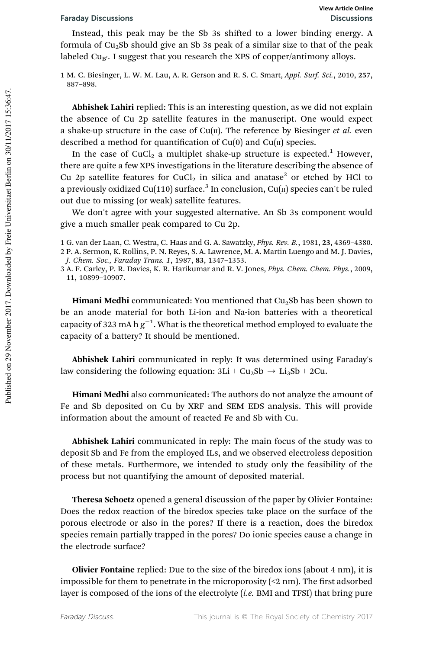### Faraday Discussions Discussions

Instead, this peak may be the Sb 3s shifted to a lower binding energy. A formula of  $Cu<sub>2</sub>Sb$  should give an Sb 3s peak of a similar size to that of the peak labeled Cu $_{\rm B'}$ . I suggest that you research the XPS of copper/antimony alloys.

1 M. C. Biesinger, L. W. M. Lau, A. R. Gerson and R. S. C. Smart, Appl. Surf. Sci., 2010, 257, 887–898.

Abhishek Lahiri replied: This is an interesting question, as we did not explain the absence of Cu 2p satellite features in the manuscript. One would expect a shake-up structure in the case of  $Cu(n)$ . The reference by Biesinger et al. even described a method for quantification of  $Cu(0)$  and  $Cu(II)$  species.

In the case of CuCl<sub>2</sub> a multiplet shake-up structure is expected.<sup>1</sup> However, there are quite a few XPS investigations in the literature describing the absence of Cu 2p satellite features for CuCl<sub>2</sub> in silica and anatase<sup>2</sup> or etched by HCl to a previously oxidized Cu(110) surface. $^3$  In conclusion, Cu( $\scriptstyle\rm II$ ) species can't be ruled out due to missing (or weak) satellite features.

We don't agree with your suggested alternative. An Sb 3s component would give a much smaller peak compared to Cu 2p.

1 G. van der Laan, C. Westra, C. Haas and G. A. Sawatzky, Phys. Rev. B., 1981, 23, 4369–4380. 2 P. A. Sermon, K. Rollins, P. N. Reyes, S. A. Lawrence, M. A. Martin Luengo and M. J. Davies, J. Chem. Soc., Faraday Trans. 1, 1987, 83, 1347–1353.

3 A. F. Carley, P. R. Davies, K. R. Harikumar and R. V. Jones, Phys. Chem. Chem. Phys., 2009, 11, 10899–10907.

**Himani Medhi** communicated: You mentioned that  $Cu<sub>2</sub>sb$  has been shown to be an anode material for both Li-ion and Na-ion batteries with a theoretical capacity of 323 mA h  $\rm g^{-1}$ . What is the theoretical method employed to evaluate the capacity of a battery? It should be mentioned.

Abhishek Lahiri communicated in reply: It was determined using Faraday's law considering the following equation:  $3Li + Cu<sub>2</sub>Sb \rightarrow Li<sub>3</sub>Sb + 2Cu$ .

Himani Medhi also communicated: The authors do not analyze the amount of Fe and Sb deposited on Cu by XRF and SEM EDS analysis. This will provide information about the amount of reacted Fe and Sb with Cu.

Abhishek Lahiri communicated in reply: The main focus of the study was to deposit Sb and Fe from the employed ILs, and we observed electroless deposition of these metals. Furthermore, we intended to study only the feasibility of the process but not quantifying the amount of deposited material.

Theresa Schoetz opened a general discussion of the paper by Olivier Fontaine: Does the redox reaction of the biredox species take place on the surface of the porous electrode or also in the pores? If there is a reaction, does the biredox species remain partially trapped in the pores? Do ionic species cause a change in the electrode surface?

Olivier Fontaine replied: Due to the size of the biredox ions (about 4 nm), it is impossible for them to penetrate in the microporosity  $\left($  <2 nm). The first adsorbed layer is composed of the ions of the electrolyte (i.e. BMI and TFSI) that bring pure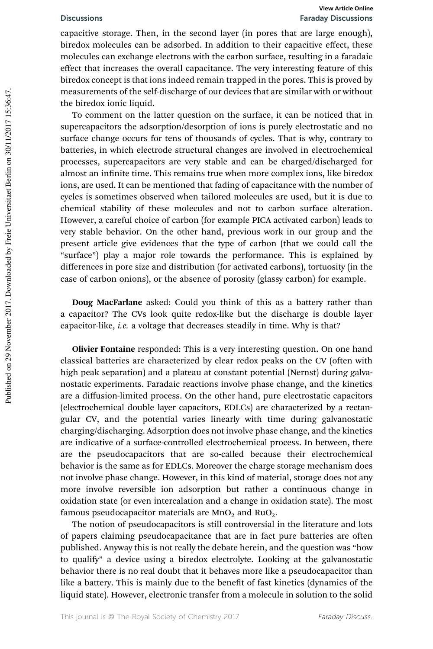capacitive storage. Then, in the second layer (in pores that are large enough), biredox molecules can be adsorbed. In addition to their capacitive effect, these molecules can exchange electrons with the carbon surface, resulting in a faradaic effect that increases the overall capacitance. The very interesting feature of this biredox concept is that ions indeed remain trapped in the pores. This is proved by measurements of the self-discharge of our devices that are similar with or without the biredox ionic liquid.

To comment on the latter question on the surface, it can be noticed that in supercapacitors the adsorption/desorption of ions is purely electrostatic and no surface change occurs for tens of thousands of cycles. That is why, contrary to batteries, in which electrode structural changes are involved in electrochemical processes, supercapacitors are very stable and can be charged/discharged for almost an infinite time. This remains true when more complex ions, like biredox ions, are used. It can be mentioned that fading of capacitance with the number of cycles is sometimes observed when tailored molecules are used, but it is due to chemical stability of these molecules and not to carbon surface alteration. However, a careful choice of carbon (for example PICA activated carbon) leads to very stable behavior. On the other hand, previous work in our group and the present article give evidences that the type of carbon (that we could call the "surface") play a major role towards the performance. This is explained by differences in pore size and distribution (for activated carbons), tortuosity (in the case of carbon onions), or the absence of porosity (glassy carbon) for example.

Doug MacFarlane asked: Could you think of this as a battery rather than a capacitor? The CVs look quite redox-like but the discharge is double layer capacitor-like, i.e. a voltage that decreases steadily in time. Why is that?

Olivier Fontaine responded: This is a very interesting question. On one hand classical batteries are characterized by clear redox peaks on the CV (often with high peak separation) and a plateau at constant potential (Nernst) during galvanostatic experiments. Faradaic reactions involve phase change, and the kinetics are a diffusion-limited process. On the other hand, pure electrostatic capacitors (electrochemical double layer capacitors, EDLCs) are characterized by a rectangular CV, and the potential varies linearly with time during galvanostatic charging/discharging. Adsorption does not involve phase change, and the kinetics are indicative of a surface-controlled electrochemical process. In between, there are the pseudocapacitors that are so-called because their electrochemical behavior is the same as for EDLCs. Moreover the charge storage mechanism does not involve phase change. However, in this kind of material, storage does not any more involve reversible ion adsorption but rather a continuous change in oxidation state (or even intercalation and a change in oxidation state). The most famous pseudocapacitor materials are  $MnO<sub>2</sub>$  and RuO<sub>2</sub>.

The notion of pseudocapacitors is still controversial in the literature and lots of papers claiming pseudocapacitance that are in fact pure batteries are often published. Anyway this is not really the debate herein, and the question was "how to qualify" a device using a biredox electrolyte. Looking at the galvanostatic behavior there is no real doubt that it behaves more like a pseudocapacitor than like a battery. This is mainly due to the benefit of fast kinetics (dynamics of the liquid state). However, electronic transfer from a molecule in solution to the solid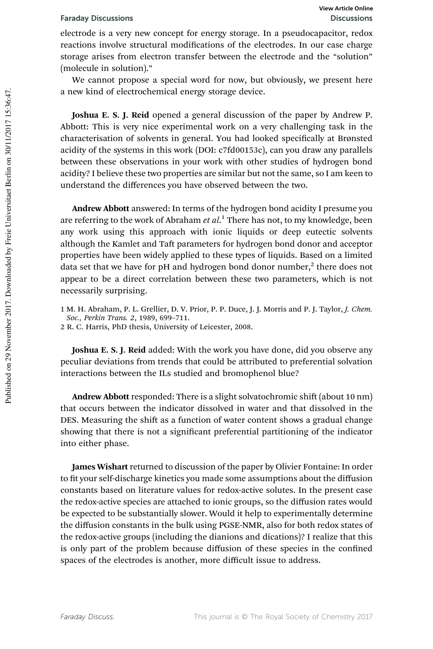electrode is a very new concept for energy storage. In a pseudocapacitor, redox reactions involve structural modifications of the electrodes. In our case charge storage arises from electron transfer between the electrode and the "solution" (molecule in solution)."

We cannot propose a special word for now, but obviously, we present here a new kind of electrochemical energy storage device.

Joshua E. S. J. Reid opened a general discussion of the paper by Andrew P. Abbott: This is very nice experimental work on a very challenging task in the characterisation of solvents in general. You had looked specifically at Brønsted acidity of the systems in this work (DOI: c7fd00153c), can you draw any parallels between these observations in your work with other studies of hydrogen bond acidity? I believe these two properties are similar but not the same, so I am keen to understand the differences you have observed between the two.

Andrew Abbott answered: In terms of the hydrogen bond acidity I presume you are referring to the work of Abraham et al.<sup>1</sup> There has not, to my knowledge, been any work using this approach with ionic liquids or deep eutectic solvents although the Kamlet and Taft parameters for hydrogen bond donor and acceptor properties have been widely applied to these types of liquids. Based on a limited data set that we have for pH and hydrogen bond donor number, $^2$  there does not appear to be a direct correlation between these two parameters, which is not necessarily surprising.

1 M. H. Abraham, P. L. Grellier, D. V. Prior, P. P. Duce, J. J. Morris and P. J. Taylor, J. Chem. Soc., Perkin Trans. 2, 1989, 699–711.

2 R. C. Harris, PhD thesis, University of Leicester, 2008.

Joshua E. S. J. Reid added: With the work you have done, did you observe any peculiar deviations from trends that could be attributed to preferential solvation interactions between the ILs studied and bromophenol blue?

Andrew Abbott responded: There is a slight solvatochromic shift (about 10 nm) that occurs between the indicator dissolved in water and that dissolved in the DES. Measuring the shift as a function of water content shows a gradual change showing that there is not a significant preferential partitioning of the indicator into either phase.

James Wishart returned to discussion of the paper by Olivier Fontaine: In order to fit your self-discharge kinetics you made some assumptions about the diffusion constants based on literature values for redox-active solutes. In the present case the redox-active species are attached to ionic groups, so the diffusion rates would be expected to be substantially slower. Would it help to experimentally determine the diffusion constants in the bulk using PGSE-NMR, also for both redox states of the redox-active groups (including the dianions and dications)? I realize that this is only part of the problem because diffusion of these species in the confined spaces of the electrodes is another, more difficult issue to address.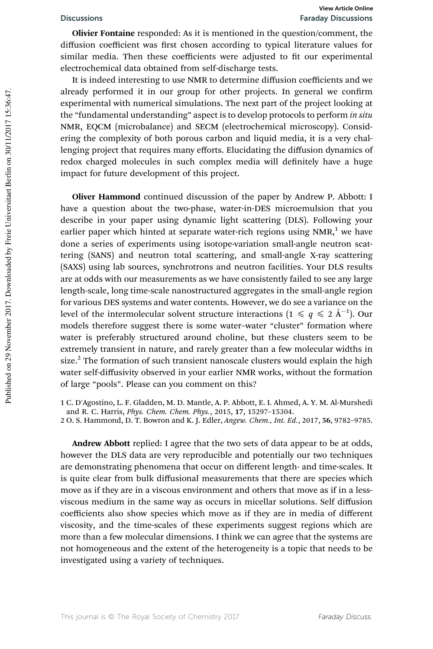Olivier Fontaine responded: As it is mentioned in the question/comment, the diffusion coefficient was first chosen according to typical literature values for similar media. Then these coefficients were adjusted to fit our experimental electrochemical data obtained from self-discharge tests.

It is indeed interesting to use NMR to determine diffusion coefficients and we already performed it in our group for other projects. In general we confirm experimental with numerical simulations. The next part of the project looking at the "fundamental understanding" aspect is to develop protocols to perform in situ NMR, EQCM (microbalance) and SECM (electrochemical microscopy). Considering the complexity of both porous carbon and liquid media, it is a very challenging project that requires many efforts. Elucidating the diffusion dynamics of redox charged molecules in such complex media will definitely have a huge impact for future development of this project.

Oliver Hammond continued discussion of the paper by Andrew P. Abbott: I have a question about the two-phase, water-in-DES microemulsion that you describe in your paper using dynamic light scattering (DLS). Following your earlier paper which hinted at separate water-rich regions using  $NMR<sub>1</sub><sup>1</sup>$  we have done a series of experiments using isotope-variation small-angle neutron scattering (SANS) and neutron total scattering, and small-angle X-ray scattering (SAXS) using lab sources, synchrotrons and neutron facilities. Your DLS results are at odds with our measurements as we have consistently failed to see any large length-scale, long time-scale nanostructured aggregates in the small-angle region for various DES systems and water contents. However, we do see a variance on the level of the intermolecular solvent structure interactions  $(1 \leq q \leq \hat{A}^{-1})$ . Our models therefore suggest there is some water–water "cluster" formation where water is preferably structured around choline, but these clusters seem to be extremely transient in nature, and rarely greater than a few molecular widths in size.<sup>2</sup> The formation of such transient nanoscale clusters would explain the high water self-diffusivity observed in your earlier NMR works, without the formation of large "pools". Please can you comment on this?

1 C. D'Agostino, L. F. Gladden, M. D. Mantle, A. P. Abbott, E. I. Ahmed, A. Y. M. Al-Murshedi and R. C. Harris, Phys. Chem. Chem. Phys., 2015, 17, 15297–15304.

2 O. S. Hammond, D. T. Bowron and K. J. Edler, Angew. Chem., Int. Ed., 2017, 56, 9782–9785.

Andrew Abbott replied: I agree that the two sets of data appear to be at odds, however the DLS data are very reproducible and potentially our two techniques are demonstrating phenomena that occur on different length- and time-scales. It is quite clear from bulk diffusional measurements that there are species which move as if they are in a viscous environment and others that move as if in a lessviscous medium in the same way as occurs in micellar solutions. Self diffusion coefficients also show species which move as if they are in media of different viscosity, and the time-scales of these experiments suggest regions which are more than a few molecular dimensions. I think we can agree that the systems are not homogeneous and the extent of the heterogeneity is a topic that needs to be investigated using a variety of techniques.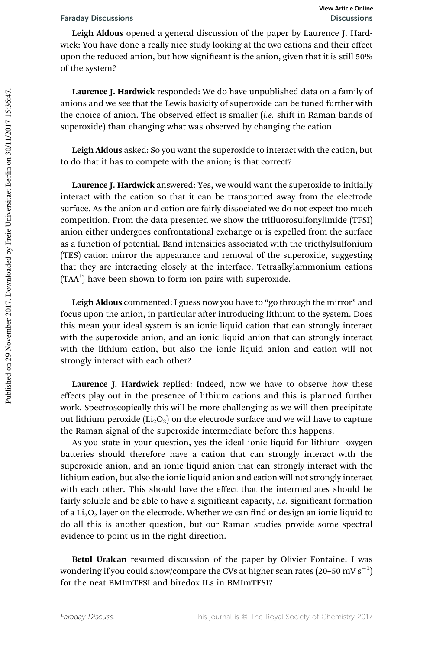Leigh Aldous opened a general discussion of the paper by Laurence J. Hardwick: You have done a really nice study looking at the two cations and their effect upon the reduced anion, but how significant is the anion, given that it is still 50% of the system?

Laurence J. Hardwick responded: We do have unpublished data on a family of anions and we see that the Lewis basicity of superoxide can be tuned further with the choice of anion. The observed effect is smaller  $(i.e.$  shift in Raman bands of superoxide) than changing what was observed by changing the cation.

Leigh Aldous asked: So you want the superoxide to interact with the cation, but to do that it has to compete with the anion; is that correct?

Laurence J. Hardwick answered: Yes, we would want the superoxide to initially interact with the cation so that it can be transported away from the electrode surface. As the anion and cation are fairly dissociated we do not expect too much competition. From the data presented we show the trifluorosulfonylimide (TFSI) anion either undergoes confrontational exchange or is expelled from the surface as a function of potential. Band intensities associated with the triethylsulfonium (TES) cation mirror the appearance and removal of the superoxide, suggesting that they are interacting closely at the interface. Tetraalkylammonium cations (TAA<sup>+</sup>) have been shown to form ion pairs with superoxide.

Leigh Aldous commented: I guess now you have to "go through the mirror" and focus upon the anion, in particular after introducing lithium to the system. Does this mean your ideal system is an ionic liquid cation that can strongly interact with the superoxide anion, and an ionic liquid anion that can strongly interact with the lithium cation, but also the ionic liquid anion and cation will not strongly interact with each other?

Laurence J. Hardwick replied: Indeed, now we have to observe how these effects play out in the presence of lithium cations and this is planned further work. Spectroscopically this will be more challenging as we will then precipitate out lithium peroxide  $(Li<sub>2</sub>O<sub>2</sub>)$  on the electrode surface and we will have to capture the Raman signal of the superoxide intermediate before this happens.

As you state in your question, yes the ideal ionic liquid for lithium -oxygen batteries should therefore have a cation that can strongly interact with the superoxide anion, and an ionic liquid anion that can strongly interact with the lithium cation, but also the ionic liquid anion and cation will not strongly interact with each other. This should have the effect that the intermediates should be fairly soluble and be able to have a significant capacity, *i.e.* significant formation of a  $Li<sub>2</sub>O<sub>2</sub>$  layer on the electrode. Whether we can find or design an ionic liquid to do all this is another question, but our Raman studies provide some spectral evidence to point us in the right direction.

Betul Uralcan resumed discussion of the paper by Olivier Fontaine: I was wondering if you could show/compare the CVs at higher scan rates (20–50 mV s<sup>-1</sup>) for the neat BMImTFSI and biredox ILs in BMImTFSI?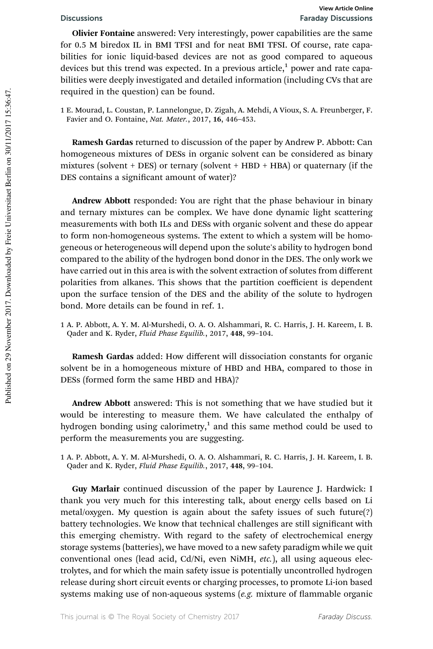Olivier Fontaine answered: Very interestingly, power capabilities are the same for 0.5 M biredox IL in BMI TFSI and for neat BMI TFSI. Of course, rate capabilities for ionic liquid-based devices are not as good compared to aqueous devices but this trend was expected. In a previous article,<sup>1</sup> power and rate capabilities were deeply investigated and detailed information (including CVs that are required in the question) can be found.

1 E. Mourad, L. Coustan, P. Lannelongue, D. Zigah, A. Mehdi, A Vioux, S. A. Freunberger, F. Favier and O. Fontaine, Nat. Mater., 2017, 16, 446–453.

Ramesh Gardas returned to discussion of the paper by Andrew P. Abbott: Can homogeneous mixtures of DESs in organic solvent can be considered as binary mixtures (solvent + DES) or ternary (solvent + HBD + HBA) or quaternary (if the DES contains a significant amount of water)?

Andrew Abbott responded: You are right that the phase behaviour in binary and ternary mixtures can be complex. We have done dynamic light scattering measurements with both ILs and DESs with organic solvent and these do appear to form non-homogeneous systems. The extent to which a system will be homogeneous or heterogeneous will depend upon the solute's ability to hydrogen bond compared to the ability of the hydrogen bond donor in the DES. The only work we have carried out in this area is with the solvent extraction of solutes from different polarities from alkanes. This shows that the partition coefficient is dependent upon the surface tension of the DES and the ability of the solute to hydrogen bond. More details can be found in ref. 1.

1 A. P. Abbott, A. Y. M. Al-Murshedi, O. A. O. Alshammari, R. C. Harris, J. H. Kareem, I. B. Qader and K. Ryder, Fluid Phase Equilib., 2017, 448, 99–104.

Ramesh Gardas added: How different will dissociation constants for organic solvent be in a homogeneous mixture of HBD and HBA, compared to those in DESs (formed form the same HBD and HBA)?

Andrew Abbott answered: This is not something that we have studied but it would be interesting to measure them. We have calculated the enthalpy of hydrogen bonding using calorimetry, $1$  and this same method could be used to perform the measurements you are suggesting.

1 A. P. Abbott, A. Y. M. Al-Murshedi, O. A. O. Alshammari, R. C. Harris, J. H. Kareem, I. B. Qader and K. Ryder, Fluid Phase Equilib., 2017, 448, 99–104.

Guy Marlair continued discussion of the paper by Laurence J. Hardwick: I thank you very much for this interesting talk, about energy cells based on Li metal/oxygen. My question is again about the safety issues of such future(?) battery technologies. We know that technical challenges are still significant with this emerging chemistry. With regard to the safety of electrochemical energy storage systems (batteries), we have moved to a new safety paradigm while we quit conventional ones (lead acid, Cd/Ni, even NiMH, etc.), all using aqueous electrolytes, and for which the main safety issue is potentially uncontrolled hydrogen release during short circuit events or charging processes, to promote Li-ion based systems making use of non-aqueous systems  $(e.g.$  mixture of flammable organic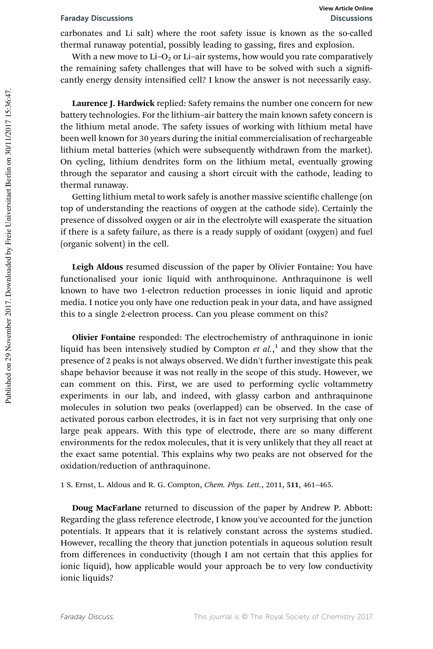carbonates and Li salt) where the root safety issue is known as the so-called thermal runaway potential, possibly leading to gassing, fires and explosion.

With a new move to Li–O<sub>2</sub> or Li–air systems, how would you rate comparatively the remaining safety challenges that will have to be solved with such a significantly energy density intensified cell? I know the answer is not necessarily easy.

Laurence J. Hardwick replied: Safety remains the number one concern for new battery technologies. For the lithium–air battery the main known safety concern is the lithium metal anode. The safety issues of working with lithium metal have been well known for 30 years during the initial commercialisation of rechargeable lithium metal batteries (which were subsequently withdrawn from the market). On cycling, lithium dendrites form on the lithium metal, eventually growing through the separator and causing a short circuit with the cathode, leading to thermal runaway.

Getting lithium metal to work safely is another massive scientific challenge (on top of understanding the reactions of oxygen at the cathode side). Certainly the presence of dissolved oxygen or air in the electrolyte will exasperate the situation if there is a safety failure, as there is a ready supply of oxidant (oxygen) and fuel (organic solvent) in the cell.

Leigh Aldous resumed discussion of the paper by Olivier Fontaine: You have functionalised your ionic liquid with anthroquinone. Anthraquinone is well known to have two 1-electron reduction processes in ionic liquid and aprotic media. I notice you only have one reduction peak in your data, and have assigned this to a single 2-electron process. Can you please comment on this?

Olivier Fontaine responded: The electrochemistry of anthraquinone in ionic liquid has been intensively studied by Compton  $et$   $al$ ,  $\frac{1}{2}$  and they show that the presence of 2 peaks is not always observed. We didn't further investigate this peak shape behavior because it was not really in the scope of this study. However, we can comment on this. First, we are used to performing cyclic voltammetry experiments in our lab, and indeed, with glassy carbon and anthraquinone molecules in solution two peaks (overlapped) can be observed. In the case of activated porous carbon electrodes, it is in fact not very surprising that only one large peak appears. With this type of electrode, there are so many different environments for the redox molecules, that it is very unlikely that they all react at the exact same potential. This explains why two peaks are not observed for the oxidation/reduction of anthraquinone.

1 S. Ernst, L. Aldous and R. G. Compton, *Chem. Phys. Lett.*, 2011, 511, 461-465.

Doug MacFarlane returned to discussion of the paper by Andrew P. Abbott: Regarding the glass reference electrode, I know you've accounted for the junction potentials. It appears that it is relatively constant across the systems studied. However, recalling the theory that junction potentials in aqueous solution result from differences in conductivity (though I am not certain that this applies for ionic liquid), how applicable would your approach be to very low conductivity ionic liquids?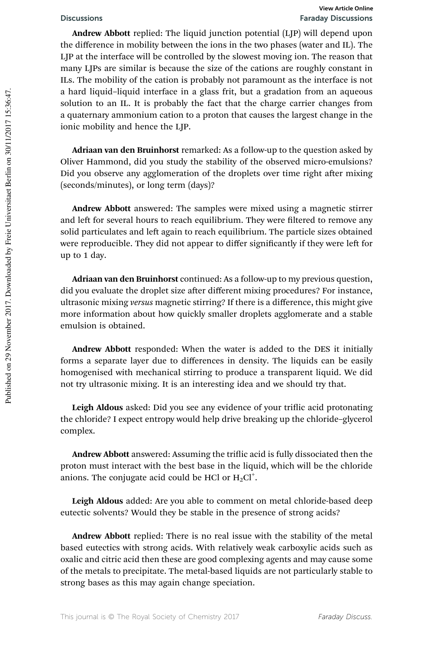Andrew Abbott replied: The liquid junction potential (LJP) will depend upon the difference in mobility between the ions in the two phases (water and IL). The LJP at the interface will be controlled by the slowest moving ion. The reason that many LJPs are similar is because the size of the cations are roughly constant in ILs. The mobility of the cation is probably not paramount as the interface is not a hard liquid–liquid interface in a glass frit, but a gradation from an aqueous solution to an IL. It is probably the fact that the charge carrier changes from a quaternary ammonium cation to a proton that causes the largest change in the ionic mobility and hence the LJP.

Adriaan van den Bruinhorst remarked: As a follow-up to the question asked by Oliver Hammond, did you study the stability of the observed micro-emulsions? Did you observe any agglomeration of the droplets over time right after mixing (seconds/minutes), or long term (days)?

Andrew Abbott answered: The samples were mixed using a magnetic stirrer and left for several hours to reach equilibrium. They were filtered to remove any solid particulates and left again to reach equilibrium. The particle sizes obtained were reproducible. They did not appear to differ significantly if they were left for up to 1 day.

Adriaan van den Bruinhorst continued: As a follow-up to my previous question, did you evaluate the droplet size after different mixing procedures? For instance, ultrasonic mixing versus magnetic stirring? If there is a difference, this might give more information about how quickly smaller droplets agglomerate and a stable emulsion is obtained.

Andrew Abbott responded: When the water is added to the DES it initially forms a separate layer due to differences in density. The liquids can be easily homogenised with mechanical stirring to produce a transparent liquid. We did not try ultrasonic mixing. It is an interesting idea and we should try that.

Leigh Aldous asked: Did you see any evidence of your triflic acid protonating the chloride? I expect entropy would help drive breaking up the chloride–glycerol complex.

Andrew Abbott answered: Assuming the triflic acid is fully dissociated then the proton must interact with the best base in the liquid, which will be the chloride anions. The conjugate acid could be HCl or  $H_2Cl^+$ .

Leigh Aldous added: Are you able to comment on metal chloride-based deep eutectic solvents? Would they be stable in the presence of strong acids?

Andrew Abbott replied: There is no real issue with the stability of the metal based eutectics with strong acids. With relatively weak carboxylic acids such as oxalic and citric acid then these are good complexing agents and may cause some of the metals to precipitate. The metal-based liquids are not particularly stable to strong bases as this may again change speciation.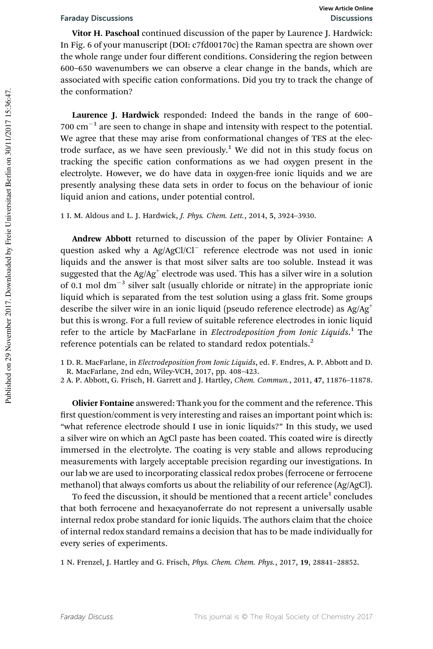Vitor H. Paschoal continued discussion of the paper by Laurence J. Hardwick: In Fig. 6 of your manuscript (DOI: c7fd00170c) the Raman spectra are shown over the whole range under four different conditions. Considering the region between 600–650 wavenumbers we can observe a clear change in the bands, which are associated with specific cation conformations. Did you try to track the change of the conformation?

Laurence J. Hardwick responded: Indeed the bands in the range of 600–  $700 \text{ cm}^{-1}$  are seen to change in shape and intensity with respect to the potential. We agree that these may arise from conformational changes of TES at the electrode surface, as we have seen previously.<sup>1</sup> We did not in this study focus on tracking the specific cation conformations as we had oxygen present in the electrolyte. However, we do have data in oxygen-free ionic liquids and we are presently analysing these data sets in order to focus on the behaviour of ionic liquid anion and cations, under potential control.

1 I. M. Aldous and L. J. Hardwick, J. Phys. Chem. Lett., 2014, 5, 3924–3930.

Andrew Abbott returned to discussion of the paper by Olivier Fontaine: A question asked why a Ag/AgCl/Cl reference electrode was not used in ionic liquids and the answer is that most silver salts are too soluble. Instead it was suggested that the Ag/Ag $^{\scriptscriptstyle +}$  electrode was used. This has a silver wire in a solution of 0.1 mol  $dm^{-3}$  silver salt (usually chloride or nitrate) in the appropriate ionic liquid which is separated from the test solution using a glass frit. Some groups describe the silver wire in an ionic liquid (pseudo reference electrode) as  $Ag/Ag^+$ but this is wrong. For a full review of suitable reference electrodes in ionic liquid refer to the article by MacFarlane in *Electrodeposition from Ionic Liquids*.<sup>1</sup> The reference potentials can be related to standard redox potentials.<sup>2</sup>

1 D. R. MacFarlane, in Electrodeposition from Ionic Liquids, ed. F. Endres, A. P. Abbott and D. R. MacFarlane, 2nd edn, Wiley-VCH, 2017, pp. 408–423.

2 A. P. Abbott, G. Frisch, H. Garrett and J. Hartley, Chem. Commun., 2011, 47, 11876–11878.

Olivier Fontaine answered: Thank you for the comment and the reference. This first question/comment is very interesting and raises an important point which is: "what reference electrode should I use in ionic liquids?" In this study, we used a silver wire on which an AgCl paste has been coated. This coated wire is directly immersed in the electrolyte. The coating is very stable and allows reproducing measurements with largely acceptable precision regarding our investigations. In our lab we are used to incorporating classical redox probes (ferrocene or ferrocene methanol) that always comforts us about the reliability of our reference (Ag/AgCl).

To feed the discussion, it should be mentioned that a recent article $^{\rm 1}$  concludes that both ferrocene and hexacyanoferrate do not represent a universally usable internal redox probe standard for ionic liquids. The authors claim that the choice of internal redox standard remains a decision that has to be made individually for every series of experiments.

1 N. Frenzel, J. Hartley and G. Frisch, Phys. Chem. Chem. Phys., 2017, 19, 28841–28852.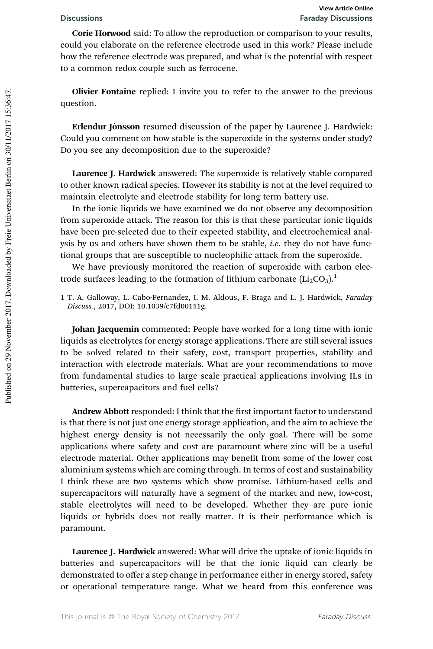Corie Horwood said: To allow the reproduction or comparison to your results, could you elaborate on the reference electrode used in this work? Please include how the reference electrode was prepared, and what is the potential with respect to a common redox couple such as ferrocene.

Olivier Fontaine replied: I invite you to refer to the answer to the previous question.

Erlendur Jónsson resumed discussion of the paper by Laurence J. Hardwick: Could you comment on how stable is the superoxide in the systems under study? Do you see any decomposition due to the superoxide?

Laurence J. Hardwick answered: The superoxide is relatively stable compared to other known radical species. However its stability is not at the level required to maintain electrolyte and electrode stability for long term battery use.

In the ionic liquids we have examined we do not observe any decomposition from superoxide attack. The reason for this is that these particular ionic liquids have been pre-selected due to their expected stability, and electrochemical analysis by us and others have shown them to be stable, *i.e.* they do not have functional groups that are susceptible to nucleophilic attack from the superoxide.

We have previously monitored the reaction of superoxide with carbon electrode surfaces leading to the formation of lithium carbonate  $(Li_2CO_3)$ <sup>1</sup>

Johan Jacquemin commented: People have worked for a long time with ionic liquids as electrolytes for energy storage applications. There are still several issues to be solved related to their safety, cost, transport properties, stability and interaction with electrode materials. What are your recommendations to move from fundamental studies to large scale practical applications involving ILs in batteries, supercapacitors and fuel cells?

Andrew Abbott responded: I think that the first important factor to understand is that there is not just one energy storage application, and the aim to achieve the highest energy density is not necessarily the only goal. There will be some applications where safety and cost are paramount where zinc will be a useful electrode material. Other applications may benefit from some of the lower cost aluminium systems which are coming through. In terms of cost and sustainability I think these are two systems which show promise. Lithium-based cells and supercapacitors will naturally have a segment of the market and new, low-cost, stable electrolytes will need to be developed. Whether they are pure ionic liquids or hybrids does not really matter. It is their performance which is paramount.

Laurence J. Hardwick answered: What will drive the uptake of ionic liquids in batteries and supercapacitors will be that the ionic liquid can clearly be demonstrated to offer a step change in performance either in energy stored, safety or operational temperature range. What we heard from this conference was

<sup>1</sup> T. A. Galloway, L. Cabo-Fernandez, I. M. Aldous, F. Braga and L. J. Hardwick, Faraday Discuss., 2017, DOI: 10.1039/c7fd00151g.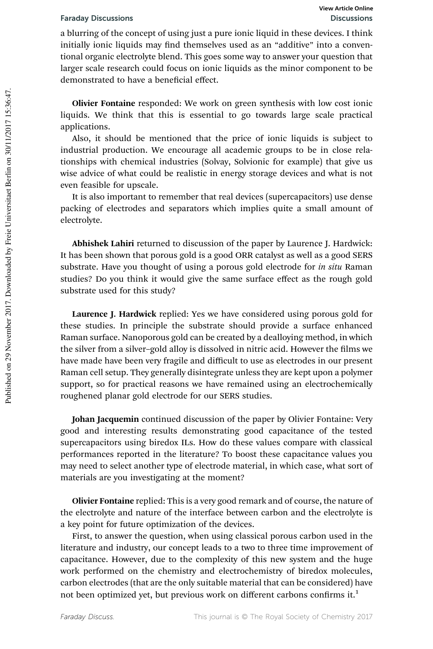a blurring of the concept of using just a pure ionic liquid in these devices. I think initially ionic liquids may find themselves used as an "additive" into a conventional organic electrolyte blend. This goes some way to answer your question that larger scale research could focus on ionic liquids as the minor component to be demonstrated to have a beneficial effect.

Olivier Fontaine responded: We work on green synthesis with low cost ionic liquids. We think that this is essential to go towards large scale practical applications.

Also, it should be mentioned that the price of ionic liquids is subject to industrial production. We encourage all academic groups to be in close relationships with chemical industries (Solvay, Solvionic for example) that give us wise advice of what could be realistic in energy storage devices and what is not even feasible for upscale.

It is also important to remember that real devices (supercapacitors) use dense packing of electrodes and separators which implies quite a small amount of electrolyte.

Abhishek Lahiri returned to discussion of the paper by Laurence J. Hardwick: It has been shown that porous gold is a good ORR catalyst as well as a good SERS substrate. Have you thought of using a porous gold electrode for in situ Raman studies? Do you think it would give the same surface effect as the rough gold substrate used for this study?

Laurence J. Hardwick replied: Yes we have considered using porous gold for these studies. In principle the substrate should provide a surface enhanced Raman surface. Nanoporous gold can be created by a dealloying method, in which the silver from a silver-gold alloy is dissolved in nitric acid. However the films we have made have been very fragile and difficult to use as electrodes in our present Raman cell setup. They generally disintegrate unless they are kept upon a polymer support, so for practical reasons we have remained using an electrochemically roughened planar gold electrode for our SERS studies.

Johan Jacquemin continued discussion of the paper by Olivier Fontaine: Very good and interesting results demonstrating good capacitance of the tested supercapacitors using biredox ILs. How do these values compare with classical performances reported in the literature? To boost these capacitance values you may need to select another type of electrode material, in which case, what sort of materials are you investigating at the moment?

Olivier Fontaine replied: This is a very good remark and of course, the nature of the electrolyte and nature of the interface between carbon and the electrolyte is a key point for future optimization of the devices.

First, to answer the question, when using classical porous carbon used in the literature and industry, our concept leads to a two to three time improvement of capacitance. However, due to the complexity of this new system and the huge work performed on the chemistry and electrochemistry of biredox molecules, carbon electrodes (that are the only suitable material that can be considered) have not been optimized yet, but previous work on different carbons confirms it.<sup>1</sup>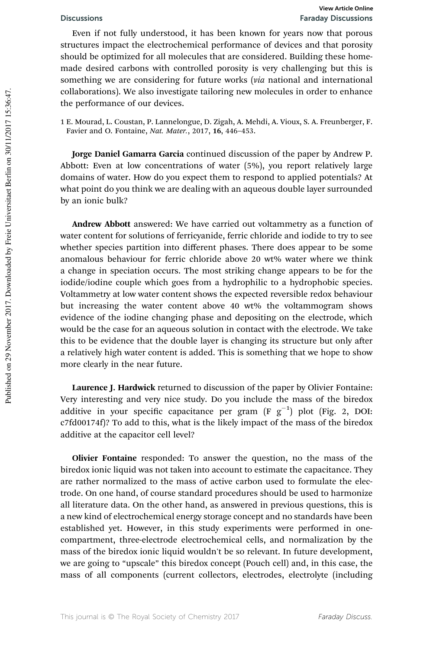Even if not fully understood, it has been known for years now that porous structures impact the electrochemical performance of devices and that porosity should be optimized for all molecules that are considered. Building these homemade desired carbons with controlled porosity is very challenging but this is something we are considering for future works (via national and international collaborations). We also investigate tailoring new molecules in order to enhance the performance of our devices.

1 E. Mourad, L. Coustan, P. Lannelongue, D. Zigah, A. Mehdi, A. Vioux, S. A. Freunberger, F. Favier and O. Fontaine, Nat. Mater., 2017, 16, 446–453.

Jorge Daniel Gamarra Garcia continued discussion of the paper by Andrew P. Abbott: Even at low concentrations of water (5%), you report relatively large domains of water. How do you expect them to respond to applied potentials? At what point do you think we are dealing with an aqueous double layer surrounded by an ionic bulk?

Andrew Abbott answered: We have carried out voltammetry as a function of water content for solutions of ferricyanide, ferric chloride and iodide to try to see whether species partition into different phases. There does appear to be some anomalous behaviour for ferric chloride above 20 wt% water where we think a change in speciation occurs. The most striking change appears to be for the iodide/iodine couple which goes from a hydrophilic to a hydrophobic species. Voltammetry at low water content shows the expected reversible redox behaviour but increasing the water content above 40 wt% the voltammogram shows evidence of the iodine changing phase and depositing on the electrode, which would be the case for an aqueous solution in contact with the electrode. We take this to be evidence that the double layer is changing its structure but only after a relatively high water content is added. This is something that we hope to show more clearly in the near future.

Laurence J. Hardwick returned to discussion of the paper by Olivier Fontaine: Very interesting and very nice study. Do you include the mass of the biredox additive in your specific capacitance per gram  $(F g^{-1})$  plot (Fig. 2, DOI: c7fd00174f)? To add to this, what is the likely impact of the mass of the biredox additive at the capacitor cell level?

Olivier Fontaine responded: To answer the question, no the mass of the biredox ionic liquid was not taken into account to estimate the capacitance. They are rather normalized to the mass of active carbon used to formulate the electrode. On one hand, of course standard procedures should be used to harmonize all literature data. On the other hand, as answered in previous questions, this is a new kind of electrochemical energy storage concept and no standards have been established yet. However, in this study experiments were performed in onecompartment, three-electrode electrochemical cells, and normalization by the mass of the biredox ionic liquid wouldn't be so relevant. In future development, we are going to "upscale" this biredox concept (Pouch cell) and, in this case, the mass of all components (current collectors, electrodes, electrolyte (including